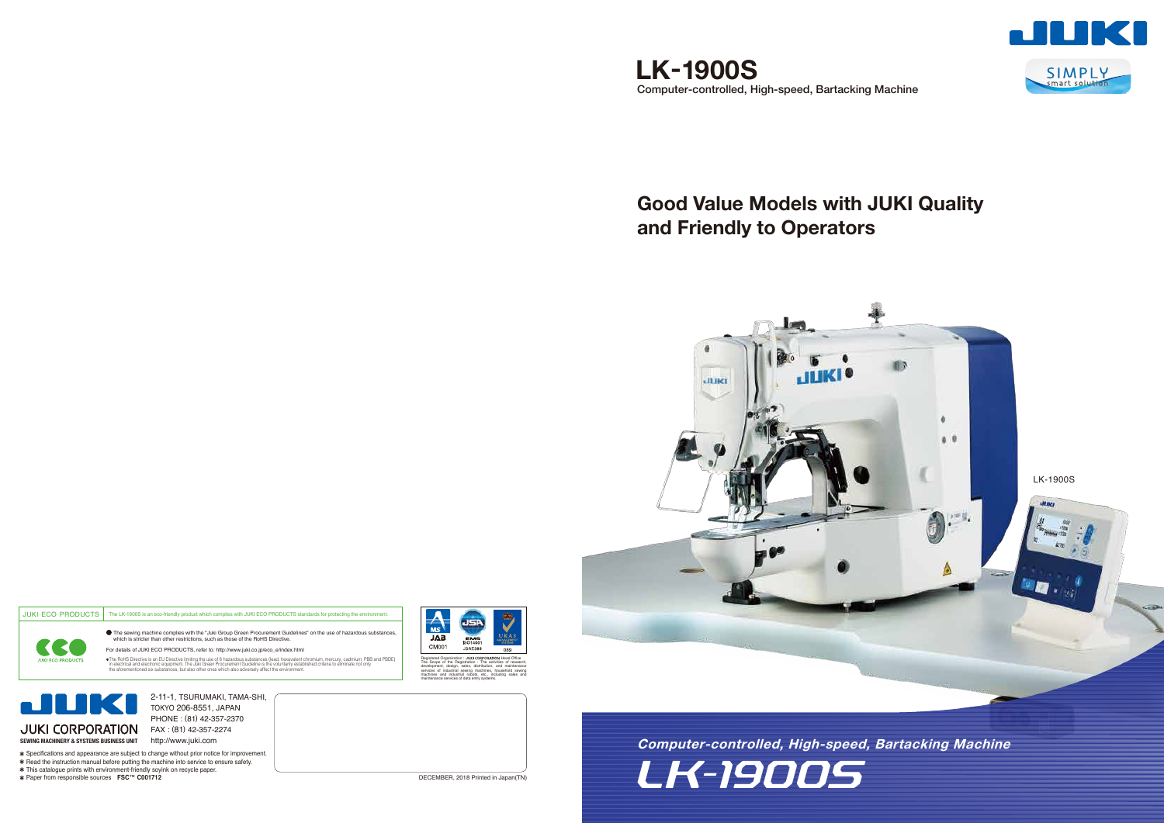# **Good Value Models with JUKI Quality and Friendly to Operators**

**SEWING MACHINERY & SYSTEMS BUSINESS UNIT** http://www.juki.com JUKI CORPORATION FAX : (81) 42-357-2274

# LK-1900S **Computer-controlled, High-speed, Bartacking Machine**

JUKI ECO PRODUCTS The LK-1900S is an eco-friendly product which complies with JUKI ECO PRODUCTS standards for protecting the environment The sewing machine complies with the "Juki Group Green Procurement Guidelines" on the use of hazardous substances, which is stricter than other restrictions, such as those of the RoHS Directive. For details of JUKI ECO PRODUCTS, refer to: http://www.juki.co.jp/eco\_e/index.html **JUKI ECO PRODUCTS** 

The HoHS Directive is an EU Directive limiting the use of 6 hazardous substances (lead, hexavalent chromium, mercury, cadmium, PBB and PBDE)<br>in electrical and electronic equipment. The Juki Green Procurement Guidelline is



Specifications and appearance are subject to change without prior notice for improvement. \* Read the instruction manual before putting the machine into service to ensure safety.



2-11-1, TSURUMAKI, TAMA-SHI, TOKYO 206-8551, JAPAN PHONE : (81) 42-357-2370

This catalogue prints with environment-friendly soyink on recycle paper. Paper from responsible sources **FSC**™ **C001712**

Registered Organization :

稔

 $\overline{JAB}$ 

CM001



The Scope of the Registration : The activities of research, development, design, sales, distribution, and maintenance services of industrial sewing machines, household sewing machines and industrial robots, etc., including sales and maintenance services of data entry systems.

JSA

EMS

**JSAE389** 

Head Office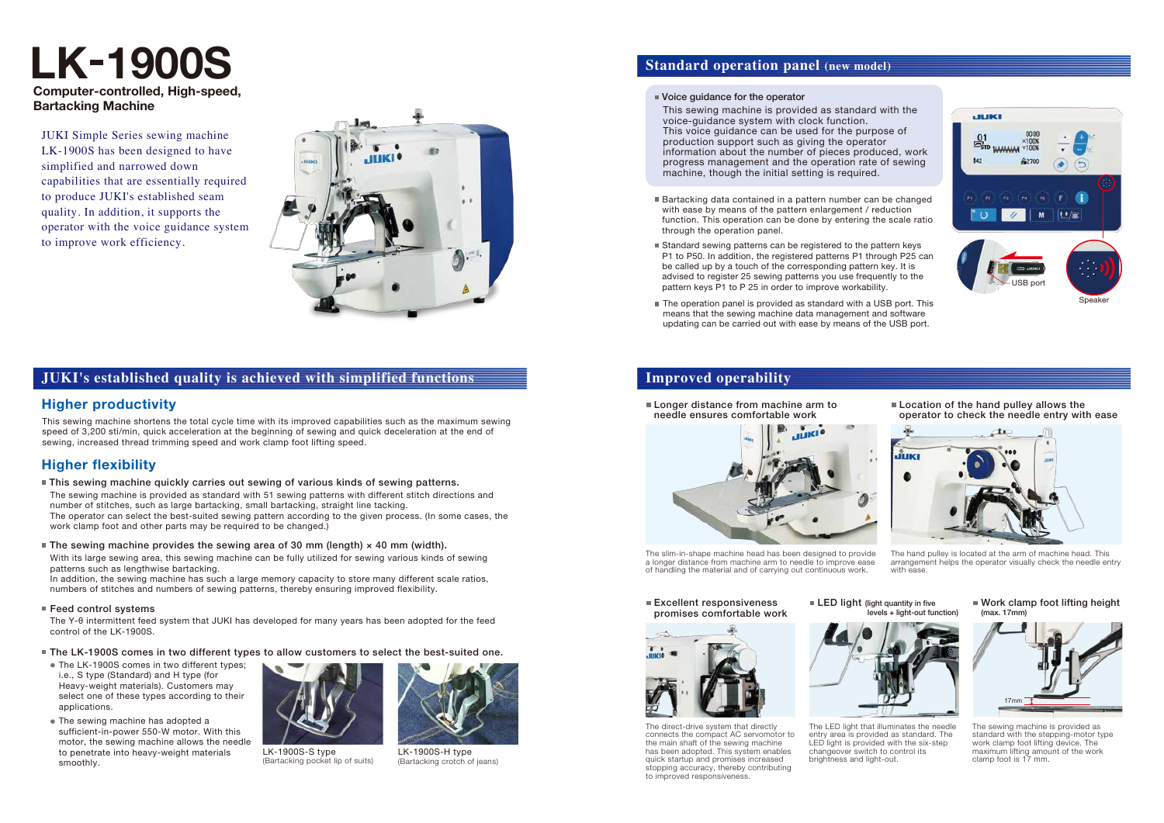This sewing machine shortens the total cycle time with its improved capabilities such as the maximum sewing speed of 3,200 sti/min, quick acceleration at the beginning of sewing and quick deceleration at the end of sewing, increased thread trimming speed and work clamp foot lifting speed.

- The sewing machine is provided as standard with 51 sewing patterns with different stitch directions and number of stitches, such as large bartacking, small bartacking, straight line tacking. The operator can select the best-suited sewing pattern according to the given process. (In some cases, the work clamp foot and other parts may be required to be changed.) This sewing machine quickly carries out sewing of various kinds of sewing patterns.
- The sewing machine provides the sewing area of 30 mm (length)  $\times$  40 mm (width).

In addition, the sewing machine has such a large memory capacity to store many different scale ratios, numbers of stitches and numbers of sewing patterns, thereby ensuring improved flexibility.

#### ■ Feed control systems

■ Longer distance from machine arm to needle ensures comfortable work



#### **Excellent responsiveness** promises comfortable work

**LED light (light quantity in five** levels + light-out function)

With its large sewing area, this sewing machine can be fully utilized for sewing various kinds of sewing patterns such as lengthwise bartacking.

**Location of the hand pulley allows the** operator to check the needle entry with ease

# **JUKI's established quality is achieved with simplified functions**

## **Standard operation panel (new model)**

#### ■ Voice quidance for the operator

# **Improved operability**

# **Higher productivity**

# **Higher flexibility**

Work clamp foot lifting height (max. 17mm)

- Bartacking data contained in a pattern number can be changed with ease by means of the pattern enlargement / reduction function. This operation can be done by entering the scale ratio through the operation panel.
- Standard sewing patterns can be registered to the pattern keys P1 to P50. In addition, the registered patterns P1 through P25 can be called up by a touch of the corresponding pattern key. It is advised to register 25 sewing patterns you use frequently to the pattern keys P1 to P 25 in order to improve workability.
- The operation panel is provided as standard with a USB port. This means that the sewing machine data management and software updating can be carried out with ease by means of the USB port.

**Computer-controlled, High-speed, Bartacking Machine**

> The hand pulley is located at the arm of machine head. This arrangement helps the operator visually check the needle entry with ease.

# **LK-1900S**

- The LK-1900S comes in two different types; i.e., S type (Standard) and H type (for Heavy-weight materials). Customers may select one of these types according to their applications.
- The sewing machine has adopted a sufficient-in-power 550-W motor. With this motor, the sewing machine allows the needle to penetrate into heavy-weight materials smoothly.

This sewing machine is provided as standard with the voice-guidance system with clock function. This voice guidance can be used for the purpose of production support such as giving the operator information about the number of pieces produced, work progress management and the operation rate of sewing machine, though the initial setting is required.



The Y-θ intermittent feed system that JUKI has developed for many years has been adopted for the feed control of the LK-1900S.

The slim-in-shape machine head has been designed to provide a longer distance from machine arm to needle to improve ease of handling the material and of carrying out continuous work.



The sewing machine is provided as standard with the stepping-motor type work clamp foot lifting device. The maximum lifting amount of the work clamp foot is 17 mm.



The LED light that illuminates the needle entry area is provided as standard. The LED light is provided with the six-step changeover switch to control its brightness and light-out.



The direct-drive system that directly connects the compact AC servomotor to the main shaft of the sewing machine has been adopted. This system enables quick startup and promises increased stopping accuracy, thereby contributing to improved responsiveness.

JUKI Simple Series sewing machine LK-1900S has been designed to have simplified and narrowed down capabilities that are essentially required to produce JUKI's established seam quality. In addition, it supports the operator with the voice guidance system to improve work efficiency.





LK-1900S-S type (Bartacking pocket lip of suits)



LK-1900S-H type (Bartacking crotch of jeans)

The LK-1900S comes in two different types to allow customers to select the best-suited one.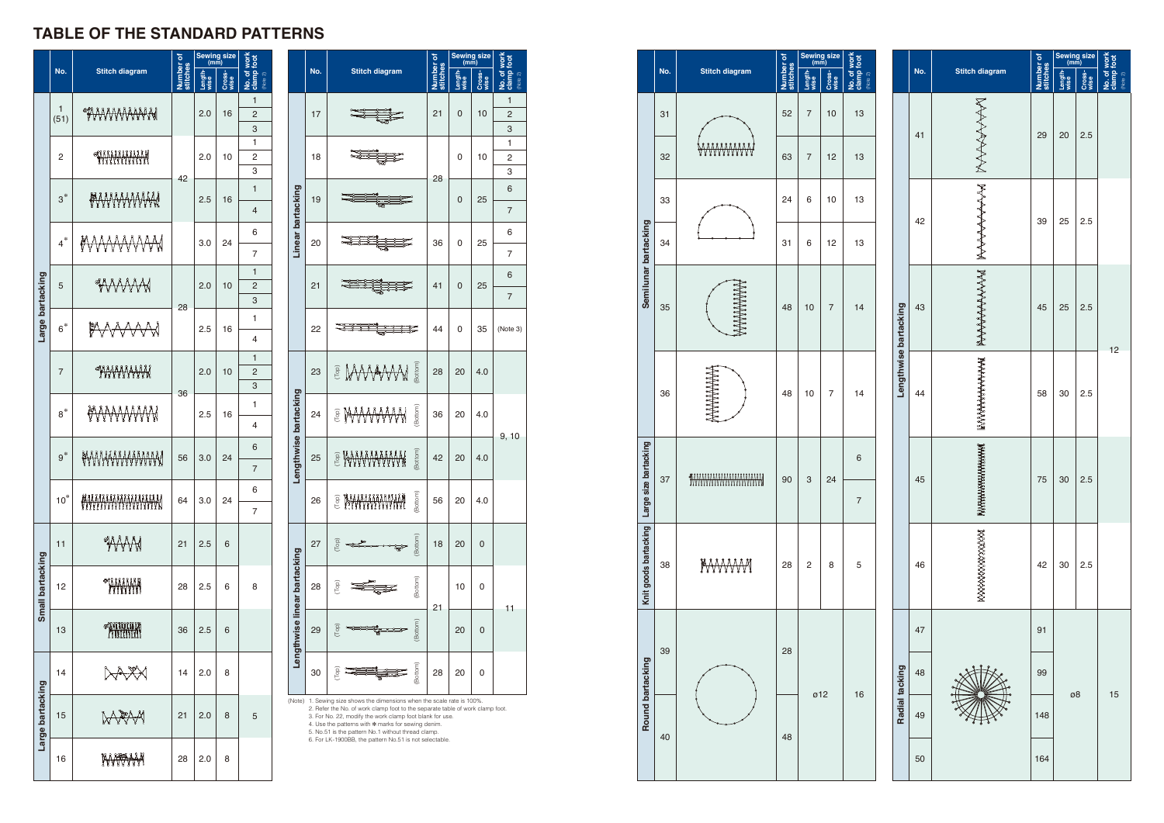|                              |                                                                                                                                                                                                                                                                                                                                                                                            |                           | ō                  | Sewing size<br>(mm) |                | <b>WOrk</b>                       |  |  |  |
|------------------------------|--------------------------------------------------------------------------------------------------------------------------------------------------------------------------------------------------------------------------------------------------------------------------------------------------------------------------------------------------------------------------------------------|---------------------------|--------------------|---------------------|----------------|-----------------------------------|--|--|--|
|                              | No.                                                                                                                                                                                                                                                                                                                                                                                        | <b>Stitch diagram</b>     | Number<br>stitches | Length<br>wise      | Cross-<br>wise | clamp foot<br>ა<br>ან<br>(Note 2) |  |  |  |
|                              | 17                                                                                                                                                                                                                                                                                                                                                                                         |                           | 21                 | 0                   | 10             | $\mathbf{1}$<br>2<br>3            |  |  |  |
|                              | 18                                                                                                                                                                                                                                                                                                                                                                                         |                           |                    | 0                   | 10             | 1<br>2<br>3                       |  |  |  |
|                              | 19                                                                                                                                                                                                                                                                                                                                                                                         |                           | 28                 | 0                   | 25             | 6<br>7                            |  |  |  |
| Linear bartacking            | 20                                                                                                                                                                                                                                                                                                                                                                                         |                           | 36                 | 0                   | 25             | 6<br>7                            |  |  |  |
|                              | 21                                                                                                                                                                                                                                                                                                                                                                                         |                           | 41                 | 0                   | 25             | 6<br>$\overline{7}$               |  |  |  |
|                              | 22                                                                                                                                                                                                                                                                                                                                                                                         | ₹                         | 44                 | 0                   | 35             | (Note 3)                          |  |  |  |
|                              | 23                                                                                                                                                                                                                                                                                                                                                                                         | (Bottom)<br>E MWWW        | 28                 | 20                  | 4.0            |                                   |  |  |  |
| Lengthwise bartacking        | 24                                                                                                                                                                                                                                                                                                                                                                                         | (Bottom)<br>ê MAAAAA<br>₩ | 36                 | 20                  | 4.0            | 9, 10                             |  |  |  |
|                              | 25                                                                                                                                                                                                                                                                                                                                                                                         | Bottom)<br>E KAAAAAAAA    | 42                 | 20                  | 4.0            |                                   |  |  |  |
|                              | 26                                                                                                                                                                                                                                                                                                                                                                                         | Bottom)<br>Top)           | 56                 | 20                  | 4.0            |                                   |  |  |  |
|                              | 27                                                                                                                                                                                                                                                                                                                                                                                         | (Bottom)<br>Top)          | 18                 | 20                  | 0              |                                   |  |  |  |
|                              | 28                                                                                                                                                                                                                                                                                                                                                                                         | (Bottom)<br>Top)          | 21                 | 0<br>10             |                | 11                                |  |  |  |
| Lengthwise linear bartacking | 29                                                                                                                                                                                                                                                                                                                                                                                         | Bottom<br>9 <sub>o</sub>  |                    | 20                  | 0              |                                   |  |  |  |
|                              | 30                                                                                                                                                                                                                                                                                                                                                                                         | (Bottom)<br>ιδ            | 28                 | 20                  | 0              |                                   |  |  |  |
|                              | (Note) 1. Sewing size shows the dimensions when the scale rate is 100%.<br>2. Refer the No. of work clamp foot to the separate table of work clamp foot.<br>3. For No. 22, modify the work clamp foot blank for use.<br>4. Use the patterns with * marks for sewing denim.<br>5. No.51 is the pattern No.1 without thread clamp.<br>6. For LK-1900BB, the pattern No.51 is not selectable. |                           |                    |                     |                |                                   |  |  |  |

# **TABLE OF THE S TAN DARD P ATTERNS**

|                  |                      |                            |                       | Sewing size<br>(mm) |                |                                       |                              |            |
|------------------|----------------------|----------------------------|-----------------------|---------------------|----------------|---------------------------------------|------------------------------|------------|
|                  | No.                  | <b>Stitch diagram</b>      | Number of<br>stitches | Length-<br>wise     | Cross-<br>wise | No. of work<br>clamp foot<br>(Note 2) |                              |            |
|                  | $\mathbf{1}$<br>(51) | <u>IWWWWW</u>              |                       | 2.0                 | 16             | $\mathbf{1}$<br>$\overline{2}$<br>3   |                              |            |
|                  | 2                    |                            | 42                    | 2.0                 | 10             | 1<br>$\overline{2}$<br>3              |                              |            |
|                  | $3^*$                | <b>AWWWWW</b>              |                       | 2.5                 | 16             | $\mathbf{1}$<br>4                     |                              |            |
|                  | $4^*$                | MWWWW                      |                       | 3.0                 | 24             | 6<br>$\overline{7}$                   | Linear bartacking            |            |
|                  | 5                    | <b>WWW</b>                 |                       | 2.0                 | 10             | $\mathbf{1}$<br>$\overline{c}$<br>3   |                              |            |
| Large bartacking | $6^*$                | P<br>MAAM                  | 28                    | 2.5                 | 16             | 1<br>4                                |                              |            |
|                  | $\overline{7}$       | <u>maannana</u>            |                       | 2.0                 | 10             | $\mathbf{1}$<br>$\overline{c}$<br>3   |                              |            |
|                  | $8^*$                | <del>MWWWW</del>           | 36                    | 2.5                 | 16             | 1<br>4                                |                              |            |
|                  | $9*$                 |                            | 56                    | 3.0                 | 24             | 6<br>$\overline{7}$                   | Lengthwise bartacking        |            |
|                  | $10^*$               | <u>MAAAAAAAAAAAAAAAAAA</u> | 64                    | 3.0                 | 24             | 6<br>$\overline{7}$                   |                              |            |
|                  | 11                   | TYYYM                      | 21                    | 2.5                 | 6              |                                       |                              |            |
| Small bartacking | 12                   | e anana                    | 28                    | 2.5                 | 6              | 8                                     | Lengthwise linear bartacking |            |
|                  | 13                   | e anning                   | 36                    | 2.5                 | 6              |                                       |                              |            |
|                  | 14                   | $\forall$                  | 14                    | 2.0                 | 8              |                                       |                              |            |
| Large bartacking | 15                   | ₩₩₩                        | 21                    | 2.0                 | 8              | 5                                     | (Note)                       |            |
|                  | 16                   | NYVYYYY                    | 28                    | 2.0                 | 8              |                                       |                              | $\epsilon$ |

|                          |                              |                       |                       |                 |                | Sewing size<br>(mm)                          |     |     |                            |    |    |     |  |  |  |  |  |  |    |  |    |
|--------------------------|------------------------------|-----------------------|-----------------------|-----------------|----------------|----------------------------------------------|-----|-----|----------------------------|----|----|-----|--|--|--|--|--|--|----|--|----|
| $clamp$ foot<br>(Note 2) | <b>Stitch diagram</b><br>No. |                       | Number of<br>stitches | Length-<br>wise | Cross-<br>wise | <b>No. of work</b><br>clamp foot<br>(Note 2) |     |     |                            |    |    |     |  |  |  |  |  |  |    |  |    |
| 13<br>13                 |                              |                       | 41                    | MANNAN          | 29             | 20                                           | 2.5 |     |                            |    |    |     |  |  |  |  |  |  |    |  |    |
| 13<br>13                 |                              | Lengthwise bartacking |                       | 42              | ᢂ<br>₩₩₩₩₩₩₩   | 39                                           | 25  | 2.5 |                            |    |    |     |  |  |  |  |  |  |    |  |    |
| 14                       |                              |                       |                       |                 |                |                                              |     | 43  | የት <del>ላን የ</del> ትትት ትትት | 45 | 25 | 2.5 |  |  |  |  |  |  |    |  |    |
| 14                       |                              |                       |                       |                 | 44             | ጽ<br>የትምን የትምን የትምን የትምን                     | 58  | 30  | 2.5                        | 12 |    |     |  |  |  |  |  |  |    |  |    |
| 6<br>$\overline{7}$      |                              |                       |                       |                 | 45             | Analympiana<br>Analympiana<br>wwww           | 75  | 30  | 2.5                        |    |    |     |  |  |  |  |  |  |    |  |    |
| 5                        |                              |                       |                       |                 |                |                                              |     |     |                            |    |    |     |  |  |  |  |  |  | 46 |  | 42 |
|                          |                              |                       | 47                    |                 | 91             | ø8                                           |     |     |                            |    |    |     |  |  |  |  |  |  |    |  |    |
| 16                       |                              | Radial tacking        | 48                    |                 | 99             |                                              |     | 15  |                            |    |    |     |  |  |  |  |  |  |    |  |    |
|                          |                              |                       | 49                    |                 | 148            |                                              |     |     |                            |    |    |     |  |  |  |  |  |  |    |  |    |
|                          |                              |                       | 50                    |                 | 164            |                                              |     |     |                            |    |    |     |  |  |  |  |  |  |    |  |    |

|  |                                             |     |                       |                       | Sewing size<br>(mm) |                       |                                              |
|--|---------------------------------------------|-----|-----------------------|-----------------------|---------------------|-----------------------|----------------------------------------------|
|  |                                             | No. | <b>Stitch diagram</b> | Number of<br>stitches | Length-<br>wise     | Cross-<br><u>wise</u> | <b>No. of work</b><br>clamp foot<br>(Note 2) |
|  |                                             | 31  |                       | 52                    | 7                   | 10                    | 13                                           |
|  |                                             | 32  |                       | 63                    | $\overline{7}$      | 12                    | 13                                           |
|  |                                             | 33  |                       | 24                    | 6                   | 10                    | 13                                           |
|  |                                             | 34  |                       | 31                    | 6                   | 12                    | 13                                           |
|  | Semilunar bartacking                        | 35  |                       | 48                    | 10                  | 7                     | 14                                           |
|  |                                             | 36  |                       | 48                    | 10                  | 7                     | 14                                           |
|  |                                             |     |                       |                       |                     | 24                    | 6                                            |
|  |                                             | 37  | WWWWWWWWWWWW          | 90                    | 3                   |                       | $\overline{7}$                               |
|  | Knit goods bartacking Large size bartacking | 38  | <u>KAAAAAM</u>        | 28                    | $\overline{c}$      | 8                     | 5                                            |
|  | Round bartacking                            | 39  |                       |                       |                     |                       | 16                                           |
|  |                                             | 40  | 48                    | ø12                   |                     |                       |                                              |